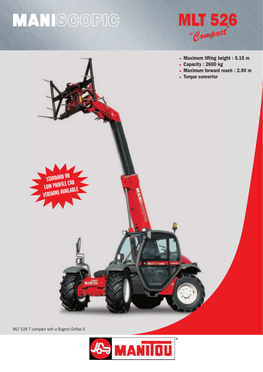## MANISGOPIG





MLT 526 T compact with a Bugnot Grifbal S